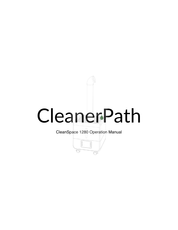# CleanerPath

CleanSpace 1280 Operation Manual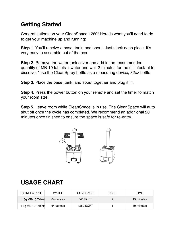## **Getting Started**

Congratulations on your CleanSpace 1280! Here is what you'll need to do to get your machine up and running:

**Step 1**. You'll receive a base, tank, and spout. Just stack each piece. It's very easy to assemble out of the box!

**Step 2**. Remove the water tank cover and add in the recommended quantity of MB-10 tablets + water and wait 2 minutes for the disinfectant to dissolve. \*use the CleanSpray bottle as a measuring device, 32oz bottle

**Step 3**. Place the base, tank, and spout together and plug it in.

**Step 4**. Press the power button on your remote and set the timer to match your room size.

**Step 5**. Leave room while CleanSpace is in use. The CleanSpace will auto shut off once the cycle has completed. We recommend an additional 20 minutes once finished to ensure the space is safe for re-entry.



# **USAGE CHART**

| <b>DISINFECTANT</b> | <b>WATER</b> | COVERAGE  | <b>USES</b> | TIME       |
|---------------------|--------------|-----------|-------------|------------|
| 1 6g MB-10 Tablet   | 64 ounces    | 640 SQFT  |             | 15 minutes |
| 1 6g MB-10 Tablets  | 64 ounces    | 1280 SQFT |             | 30 minutes |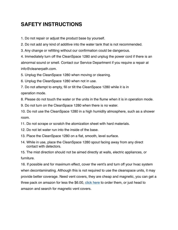### **SAFETY INSTRUCTIONS**

1. Do not repair or adjust the product base by yourself.

2. Do not add any kind of additive into the water tank that is not recommended.

3. Any change or refitting without our confirmation could be dangerous.

4. Immediately turn off the CleanSpace 1280 and unplug the power cord if there is an abnormal sound or smell. Contact our Service Department if you require a repair at info@cleanerpath.com.

5. Unplug the CleanSpace 1280 when moving or cleaning.

6. Unplug the CleanSpace 1280 when not in use.

7. Do not attempt to empty, fill or tilt the CleanSpace 1280 while it is in operation mode.

8. Please do not touch the water or the units in the flume when it is in operation mode.

9. Do not turn on the CleanSpace 1280 when there is no water.

10. Do not use the CleanSpace 1280 in a high humidity atmosphere, such as a shower room.

11. Do not scrape or scratch the atomization sheet with hard materials.

12. Do not let water run into the inside of the base.

13. Place the CleanSpace 1280 on a flat, smooth, level surface.

14. While in use, place the CleanSpace 1280 spout facing away from any direct contact with detectors.

15. The mist direction should not be aimed directly at walls, electric appliances, or furniture.

16. If possible and for maximum effect, cover the vent's and turn off your hvac system when decontaminating. Although this is not required to use the cleanspace units, it may provide better coverage. Need vent cover[s, they are](https://www.amazon.com/Frost-King-Magnetic-Covers-3-Pack/dp/B001HQF8V2/ref=sr_1_3?dchild=1&hvadid=78065378499662&hvbmt=be&hvdev=c&hvqmt=e&keywords=magnetic+vent+covers&qid=1601308624&sr=8-3&tag=mh0b-20) cheap and magnetic, you can get a three pack on amazon for less the \$6.00, click here to order them, or just head to amazon and search for magnetic vent covers.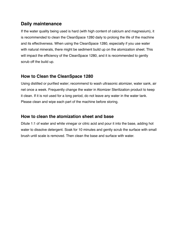#### **Daily maintenance**

If the water quality being used is hard (with high content of calcium and magnesium), it is recommended to clean the CleanSpace 1280 daily to prolong the life of the machine and its effectiveness. When using the CleanSpace 1280, especially if you use water with natural minerals, there might be sediment build up on the atomization sheet. This will impact the efficiency of the CleanSpace 1280, and it is recommended to gently scrub off the build up.

#### **How to Clean the CleanSpace 1280**

Using distilled or purified water; recommend to wash ultrasonic atomizer, water sank, air net once a week. Frequently change the water in Atomizer Sterilization product to keep it clean. If it is not used for a long period, do not leave any water in the water tank. Please clean and wipe each part of the machine before storing.

#### **How to clean the atomization sheet and base**

Dilute 1:1 of water and white vinegar or citric acid and pour it into the base, adding hot water to dissolve detergent. Soak for 10 minutes and gently scrub the surface with small brush until scale is removed. Then clean the base and surface with water.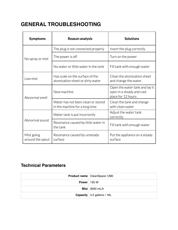## **GENERAL TROUBLESHOOTING**

| Symptoms                       | <b>Reason analysis</b>                                               | <b>Solutions</b>                                                                  |  |
|--------------------------------|----------------------------------------------------------------------|-----------------------------------------------------------------------------------|--|
| No spray or mist               | The plug is not connected properly                                   | Insert the plug correctly                                                         |  |
|                                | The power is off                                                     | Turn on the power                                                                 |  |
|                                | No water or little water in the tank                                 | Fill tank with enough water                                                       |  |
| Low mist                       | Has scale on the surface of the<br>atomization sheet or dirty water  | Clean the atomization sheet<br>and change the water.                              |  |
| Abnormal smell                 | New machine                                                          | Open the water tank and lay it<br>open in a steady and cool<br>place for 12 hours |  |
|                                | Water has not been clean or stored<br>in the machine for a long time | Clean the tank and change<br>with clean water                                     |  |
| Abnormal sound                 | Water tank is put incorrectly                                        | Adjust the water tank<br>correctly                                                |  |
|                                | Resonance caused by little water in<br>the tank                      | Fill tank with enough water                                                       |  |
| Mist going<br>around the spout | Resonance caused by unsteady<br>surface                              | Put the appliance on a steady<br>surface                                          |  |

#### **Technical Parameters**

|                      | <b>Product name</b> CleanSpace 1280   |
|----------------------|---------------------------------------|
| <b>Power</b>   135 W |                                       |
|                      | Mist $ 3000$ mL/h                     |
|                      | <b>Capacity</b> $ $ 4.2 gallons / 16L |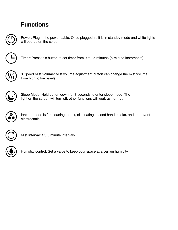## **Functions**



Power: Plug in the power cable. Once plugged in, it is in standby mode and white lights will pop up on the screen.



Timer: Press this button to set timer from 0 to 95 minutes (5-minute increments).



3 Speed Mist Volume: Mist volume adjustment button can change the mist volume from high to low levels.



Sleep Mode: Hold button down for 3 seconds to enter sleep mode. The light on the screen will turn off, other functions will work as normal.



Ion: Ion mode is for cleaning the air, eliminating second hand smoke, and to prevent electrostatic.



Mist Interval: 1/3/5 minute intervals.



Humidity control: Set a value to keep your space at a certain humidity.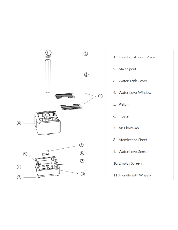